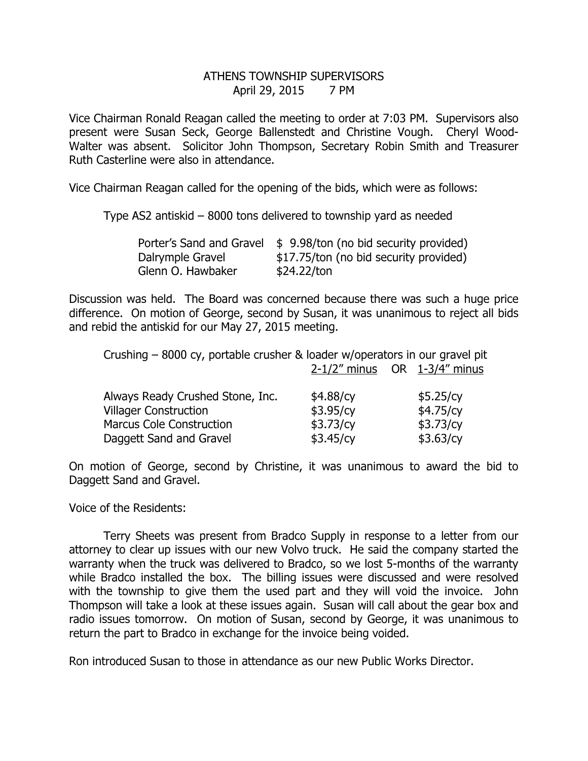## ATHENS TOWNSHIP SUPERVISORS April 29, 2015 7 PM

Vice Chairman Ronald Reagan called the meeting to order at 7:03 PM. Supervisors also present were Susan Seck, George Ballenstedt and Christine Vough. Cheryl Wood-Walter was absent. Solicitor John Thompson, Secretary Robin Smith and Treasurer Ruth Casterline were also in attendance.

Vice Chairman Reagan called for the opening of the bids, which were as follows:

Type AS2 antiskid – 8000 tons delivered to township yard as needed

|                   | Porter's Sand and Gravel $\frac{1}{2}$ 9.98/ton (no bid security provided) |
|-------------------|----------------------------------------------------------------------------|
| Dalrymple Gravel  | \$17.75/ton (no bid security provided)                                     |
| Glenn O. Hawbaker | \$24.22/ton                                                                |

Discussion was held. The Board was concerned because there was such a huge price difference. On motion of George, second by Susan, it was unanimous to reject all bids and rebid the antiskid for our May 27, 2015 meeting.

| Crushing – 8000 cy, portable crusher & loader w/operators in our gravel pit |                                    |  |           |  |
|-----------------------------------------------------------------------------|------------------------------------|--|-----------|--|
|                                                                             | $2-1/2$ " minus OR $1-3/4$ " minus |  |           |  |
|                                                                             |                                    |  |           |  |
| Always Ready Crushed Stone, Inc.                                            | \$4.88/cy                          |  | \$5.25/cy |  |
| <b>Villager Construction</b>                                                | \$3.95/cy                          |  | \$4.75/cy |  |
| <b>Marcus Cole Construction</b>                                             | \$3.73/cy                          |  | \$3.73/cy |  |
| Daggett Sand and Gravel                                                     | \$3.45/cy                          |  | \$3.63/cy |  |
|                                                                             |                                    |  |           |  |

On motion of George, second by Christine, it was unanimous to award the bid to Daggett Sand and Gravel.

Voice of the Residents:

 Terry Sheets was present from Bradco Supply in response to a letter from our attorney to clear up issues with our new Volvo truck. He said the company started the warranty when the truck was delivered to Bradco, so we lost 5-months of the warranty while Bradco installed the box. The billing issues were discussed and were resolved with the township to give them the used part and they will void the invoice. John Thompson will take a look at these issues again. Susan will call about the gear box and radio issues tomorrow. On motion of Susan, second by George, it was unanimous to return the part to Bradco in exchange for the invoice being voided.

Ron introduced Susan to those in attendance as our new Public Works Director.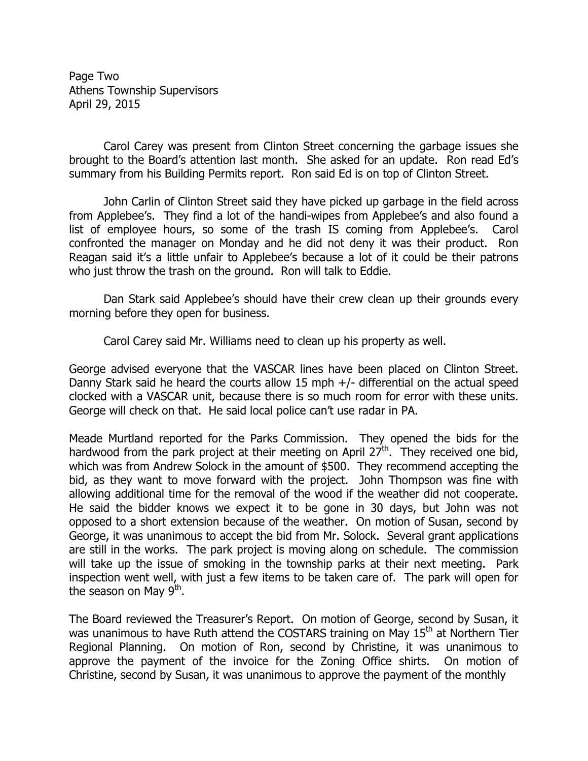Page Two Athens Township Supervisors April 29, 2015

 Carol Carey was present from Clinton Street concerning the garbage issues she brought to the Board's attention last month. She asked for an update. Ron read Ed's summary from his Building Permits report. Ron said Ed is on top of Clinton Street.

 John Carlin of Clinton Street said they have picked up garbage in the field across from Applebee's. They find a lot of the handi-wipes from Applebee's and also found a list of employee hours, so some of the trash IS coming from Applebee's. Carol confronted the manager on Monday and he did not deny it was their product. Ron Reagan said it's a little unfair to Applebee's because a lot of it could be their patrons who just throw the trash on the ground. Ron will talk to Eddie.

 Dan Stark said Applebee's should have their crew clean up their grounds every morning before they open for business.

Carol Carey said Mr. Williams need to clean up his property as well.

George advised everyone that the VASCAR lines have been placed on Clinton Street. Danny Stark said he heard the courts allow 15 mph +/- differential on the actual speed clocked with a VASCAR unit, because there is so much room for error with these units. George will check on that. He said local police can't use radar in PA.

Meade Murtland reported for the Parks Commission. They opened the bids for the hardwood from the park project at their meeting on April  $27<sup>th</sup>$ . They received one bid, which was from Andrew Solock in the amount of \$500. They recommend accepting the bid, as they want to move forward with the project. John Thompson was fine with allowing additional time for the removal of the wood if the weather did not cooperate. He said the bidder knows we expect it to be gone in 30 days, but John was not opposed to a short extension because of the weather. On motion of Susan, second by George, it was unanimous to accept the bid from Mr. Solock. Several grant applications are still in the works. The park project is moving along on schedule. The commission will take up the issue of smoking in the township parks at their next meeting. Park inspection went well, with just a few items to be taken care of. The park will open for the season on May  $9^{\text{th}}$ .

The Board reviewed the Treasurer's Report. On motion of George, second by Susan, it was unanimous to have Ruth attend the COSTARS training on May  $15<sup>th</sup>$  at Northern Tier Regional Planning. On motion of Ron, second by Christine, it was unanimous to approve the payment of the invoice for the Zoning Office shirts. On motion of Christine, second by Susan, it was unanimous to approve the payment of the monthly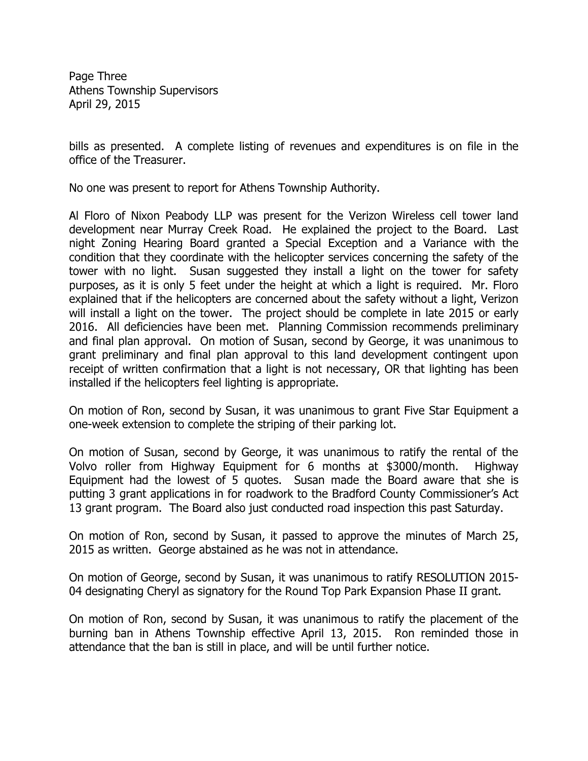Page Three Athens Township Supervisors April 29, 2015

bills as presented. A complete listing of revenues and expenditures is on file in the office of the Treasurer.

No one was present to report for Athens Township Authority.

Al Floro of Nixon Peabody LLP was present for the Verizon Wireless cell tower land development near Murray Creek Road. He explained the project to the Board. Last night Zoning Hearing Board granted a Special Exception and a Variance with the condition that they coordinate with the helicopter services concerning the safety of the tower with no light. Susan suggested they install a light on the tower for safety purposes, as it is only 5 feet under the height at which a light is required. Mr. Floro explained that if the helicopters are concerned about the safety without a light, Verizon will install a light on the tower. The project should be complete in late 2015 or early 2016. All deficiencies have been met. Planning Commission recommends preliminary and final plan approval. On motion of Susan, second by George, it was unanimous to grant preliminary and final plan approval to this land development contingent upon receipt of written confirmation that a light is not necessary, OR that lighting has been installed if the helicopters feel lighting is appropriate.

On motion of Ron, second by Susan, it was unanimous to grant Five Star Equipment a one-week extension to complete the striping of their parking lot.

On motion of Susan, second by George, it was unanimous to ratify the rental of the Volvo roller from Highway Equipment for 6 months at \$3000/month. Highway Equipment had the lowest of 5 quotes. Susan made the Board aware that she is putting 3 grant applications in for roadwork to the Bradford County Commissioner's Act 13 grant program. The Board also just conducted road inspection this past Saturday.

On motion of Ron, second by Susan, it passed to approve the minutes of March 25, 2015 as written. George abstained as he was not in attendance.

On motion of George, second by Susan, it was unanimous to ratify RESOLUTION 2015- 04 designating Cheryl as signatory for the Round Top Park Expansion Phase II grant.

On motion of Ron, second by Susan, it was unanimous to ratify the placement of the burning ban in Athens Township effective April 13, 2015. Ron reminded those in attendance that the ban is still in place, and will be until further notice.